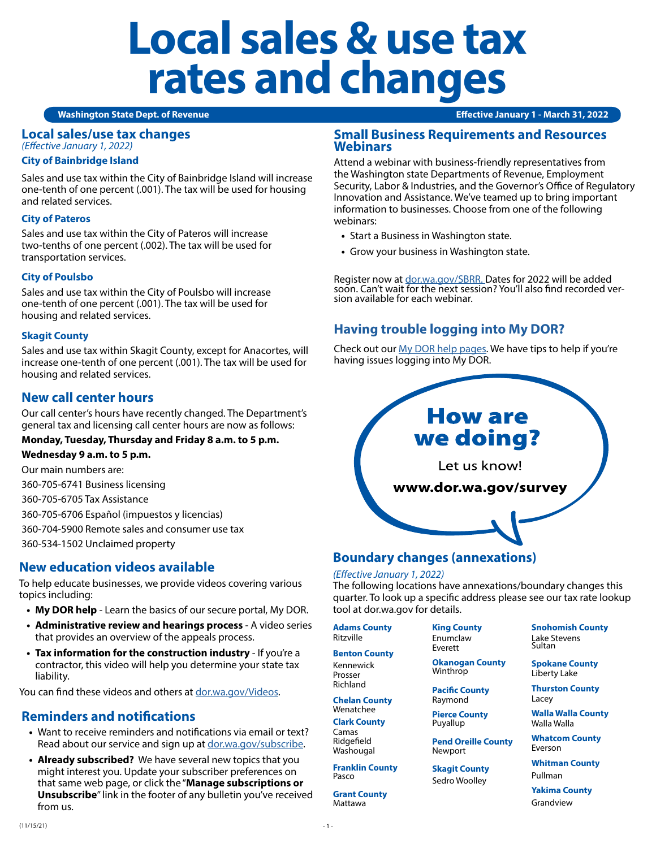# **Local sales & use tax rates and changes**

#### **Washington State Dept. of Revenue Effective January 1 - March 31, 2022**

# **Local sales/use tax changes**

*(Effective January 1, 2022)*

#### **City of Bainbridge Island**

Sales and use tax within the City of Bainbridge Island will increase one-tenth of one percent (.001). The tax will be used for housing and related services.

#### **City of Pateros**

Sales and use tax within the City of Pateros will increase two-tenths of one percent (.002). The tax will be used for transportation services.

#### **City of Poulsbo**

Sales and use tax within the City of Poulsbo will increase one-tenth of one percent (.001). The tax will be used for housing and related services.

#### **Skagit County**

Sales and use tax within Skagit County, except for Anacortes, will increase one-tenth of one percent (.001). The tax will be used for housing and related services.

# **New call center hours**

Our call center's hours have recently changed. The Department's general tax and licensing call center hours are now as follows:

#### **Monday, Tuesday, Thursday and Friday 8 a.m. to 5 p.m.**

**Wednesday 9 a.m. to 5 p.m.**

Our main numbers are:

360-705-6741 Business licensing

360-705-6705 Tax Assistance

360-705-6706 Español (impuestos y licencias)

360-704-5900 Remote sales and consumer use tax

360-534-1502 Unclaimed property

## **New education videos available**

To help educate businesses, we provide videos covering various topics including:

- **• My DOR help** Learn the basics of our secure portal, My DOR.
- **• Administrative review and hearings process** A video series that provides an overview of the appeals process.
- **• Tax information for the construction industry** If you're a contractor, this video will help you determine your state tax liability.

You can find these videos and others at [dor.wa.gov/Videos.](http://dor.wa.gov/Videos)

# **Reminders and notifications**

- **•** Want to receive reminders and notifications via email or text? Read about our service and sign up at [dor.wa.gov/subscribe](http://dor.wa.gov/subscribe).
- **• Already subscribed?** We have several new topics that you might interest you. Update your subscriber preferences on that same web page, or click the "**Manage subscriptions or Unsubscribe**" link in the footer of any bulletin you've received from us.

#### **Small Business Requirements and Resources Webinars**

Attend a webinar with business-friendly representatives from the Washington state Departments of Revenue, Employment Security, Labor & Industries, and the Governor's Office of Regulatory Innovation and Assistance. We've teamed up to bring important information to businesses. Choose from one of the following webinars:

- **•** Start a Business in Washington state.
- **•** Grow your business in Washington state.

Register now at [dor.wa.gov/SBRR.](http://dor.wa.gov/SBRR) Dates for 2022 will be added soon. Can't wait for the next session? You'll also find recorded ver- sion available for each webinar.

# **Having trouble logging into My DOR?**

Check out our [My DOR help pages.](https://dor.wa.gov/mydorhelp) We have tips to help if you're having issues logging into My DOR.



# **Boundary changes (annexations)**

#### *(Effective January 1, 2022)*

The following locations have annexations/boundary changes this quarter. To look up a specific address please see our tax rate lookup tool at dor.wa.gov for details.

**Adams County** Ritzville

**Benton County**

Kennewick Prosser Richland

**Chelan County**

Wenatchee **Clark County**

Camas Ridgefield Washougal

**Franklin County** Pasco

**Grant County** Mattawa

Enumclaw Everett **Okanogan County**

Winthrop

**Pacific County** Raymond

**King County**

**Pierce County** Puyallup

**Pend Oreille County** Newport

**Skagit County** Sedro Woolley

**Snohomish County** Lake Stevens Sultan

**Spokane County** Liberty Lake

**Thurston County** Lacey

**Walla Walla County** Walla Walla

**Whatcom County** Everson

**Whitman County** Pullman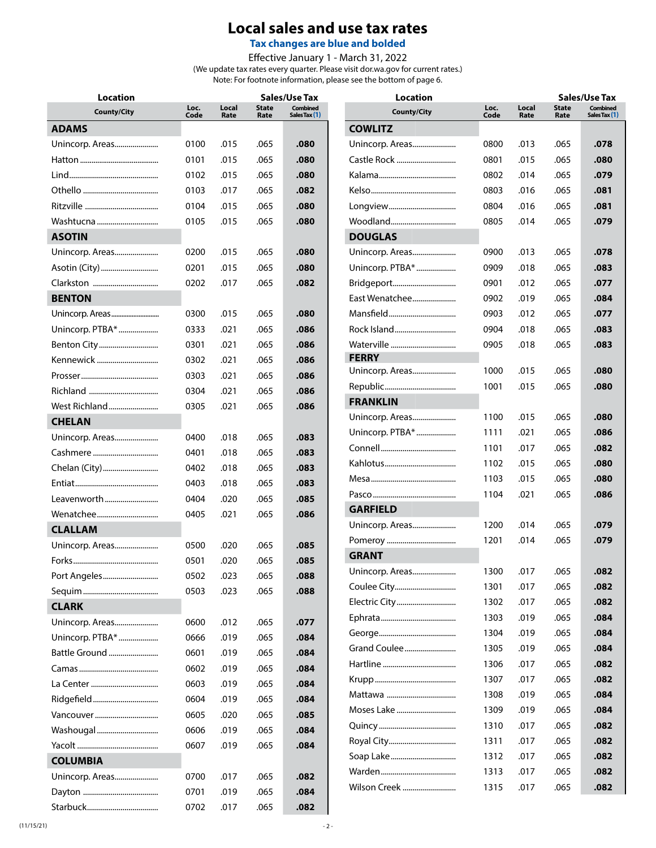# **Local sales and use tax rates**

**Tax changes are blue and bolded**

Effective January 1 - March 31, 2022

(We update tax rates every quarter. Please visit dor.wa.gov for current rates.) Note: For footnote information, please see the bottom of page 6.

| <b>Location</b>    |              |               |                      | Sales/Use Tax<br><b>Location</b> |                    |              |               | <b>Sales/Use Tax</b> |                                  |  |
|--------------------|--------------|---------------|----------------------|----------------------------------|--------------------|--------------|---------------|----------------------|----------------------------------|--|
| <b>County/City</b> | Loc.<br>Code | Local<br>Rate | <b>State</b><br>Rate | <b>Combined</b><br>Sales Tax (1) | <b>County/City</b> | Loc.<br>Code | Local<br>Rate | <b>State</b><br>Rate | <b>Combined</b><br>Sales Tax (1) |  |
| <b>ADAMS</b>       |              |               |                      |                                  | <b>COWLITZ</b>     |              |               |                      |                                  |  |
| Unincorp. Areas    | 0100         | .015          | .065                 | .080                             | Unincorp. Areas    | 0800         | .013          | .065                 | .078                             |  |
|                    | 0101         | .015          | .065                 | .080                             | Castle Rock        | 0801         | .015          | .065                 | .080                             |  |
|                    | 0102         | .015          | .065                 | .080                             |                    | 0802         | .014          | .065                 | .079                             |  |
|                    | 0103         | .017          | .065                 | .082                             |                    | 0803         | .016          | .065                 | .081                             |  |
|                    | 0104         | .015          | .065                 | .080                             |                    | 0804         | .016          | .065                 | .081                             |  |
| Washtucna          | 0105         | .015          | .065                 | .080                             | Woodland           | 0805         | .014          | .065                 | .079                             |  |
| <b>ASOTIN</b>      |              |               |                      |                                  | <b>DOUGLAS</b>     |              |               |                      |                                  |  |
| Unincorp. Areas    | 0200         | .015          | .065                 | .080                             | Unincorp. Areas    | 0900         | .013          | .065                 | .078                             |  |
| Asotin (City)      | 0201         | .015          | .065                 | .080                             | Unincorp. PTBA*    | 0909         | .018          | .065                 | .083                             |  |
|                    | 0202         | .017          | .065                 | .082                             | Bridgeport         | 0901         | .012          | .065                 | .077                             |  |
| <b>BENTON</b>      |              |               |                      |                                  | East Wenatchee     | 0902         | .019          | .065                 | .084                             |  |
|                    | 0300         | .015          | .065                 | .080                             | Mansfield          | 0903         | .012          | .065                 | .077                             |  |
| Unincorp. PTBA*    | 0333         | .021          | .065                 | .086                             | Rock Island        | 0904         | .018          | .065                 | .083                             |  |
| Benton City        | 0301         | .021          | .065                 | .086                             | Waterville         | 0905         | .018          | .065                 | .083                             |  |
| Kennewick          | 0302         | .021          | .065                 | .086                             | <b>FERRY</b>       |              |               |                      |                                  |  |
|                    | 0303         | .021          | .065                 | .086                             | Unincorp. Areas    | 1000         | .015          | .065                 | .080                             |  |
|                    | 0304         | .021          | .065                 | .086                             |                    | 1001         | .015          | .065                 | .080                             |  |
| West Richland      | 0305         | .021          | .065                 | .086                             | <b>FRANKLIN</b>    |              |               |                      |                                  |  |
| <b>CHELAN</b>      |              |               |                      |                                  | Unincorp. Areas    | 1100         | .015          | .065                 | .080                             |  |
| Unincorp. Areas    | 0400         | .018          | .065                 | .083                             | Unincorp. PTBA*    | 1111         | .021          | .065                 | .086                             |  |
|                    | 0401         | .018          | .065                 | .083                             |                    | 1101         | .017          | .065                 | .082                             |  |
| Chelan (City)      | 0402         | .018          | .065                 | .083                             |                    | 1102         | .015          | .065                 | .080                             |  |
|                    | 0403         | .018          | .065                 | .083                             |                    | 1103         | .015          | .065                 | .080                             |  |
| Leavenworth        | 0404         | .020          | .065                 | .085                             |                    | 1104         | .021          | .065                 | .086                             |  |
| Wenatchee          | 0405         | .021          | .065                 | .086                             | <b>GARFIELD</b>    |              |               |                      |                                  |  |
| <b>CLALLAM</b>     |              |               |                      |                                  | Unincorp. Areas    | 1200         | .014          | .065                 | .079                             |  |
| Unincorp. Areas    | 0500         | .020          | .065                 | .085                             |                    | 1201         | .014          | .065                 | .079                             |  |
|                    | 0501         | .020          | .065                 | .085                             | <b>GRANT</b>       |              |               |                      |                                  |  |
| Port Angeles       | 0502         | .023          | .065                 | .088                             | Unincorp. Areas    | 1300         | .017          | .065                 | .082                             |  |
|                    | 0503         | .023          | .065                 | .088                             | Coulee City        | 1301         | .017          | .065                 | .082                             |  |
| <b>CLARK</b>       |              |               |                      |                                  | Electric City      | 1302         | .017          | .065                 | .082                             |  |
| Unincorp. Areas    | 0600         | .012          | .065                 | .077                             |                    | 1303         | .019          | .065                 | .084                             |  |
| Unincorp. PTBA*    | 0666         | .019          | .065                 | .084                             |                    | 1304         | .019          | .065                 | .084                             |  |
| Battle Ground      | 0601         | .019          | .065                 | .084                             | Grand Coulee       | 1305         | .019          | .065                 | .084                             |  |
|                    | 0602         | .019          | .065                 | .084                             |                    | 1306         | .017          | .065                 | .082                             |  |
|                    | 0603         | .019          | .065                 | .084                             |                    | 1307         | .017          | .065                 | .082                             |  |
|                    | 0604         | .019          | .065                 | .084                             |                    | 1308         | .019          | .065                 | .084                             |  |
| Vancouver          | 0605         | .020          | .065                 | .085                             | Moses Lake         | 1309         | .019          | .065                 | .084                             |  |
| Washougal          | 0606         | .019          | .065                 | .084                             |                    | 1310         | .017          | .065                 | .082                             |  |
|                    | 0607         | .019          | .065                 | .084                             |                    | 1311         | .017          | .065                 | .082                             |  |
| <b>COLUMBIA</b>    |              |               |                      |                                  | Soap Lake          | 1312         | .017          | .065                 | .082                             |  |
| Unincorp. Areas    | 0700         | .017          | .065                 | .082                             |                    | 1313         | .017          | .065                 | .082                             |  |
|                    | 0701         | .019          | .065                 | .084                             | Wilson Creek       | 1315         | .017          | .065                 | .082                             |  |
|                    | 0702         | .017          | .065                 | .082                             |                    |              |               |                      |                                  |  |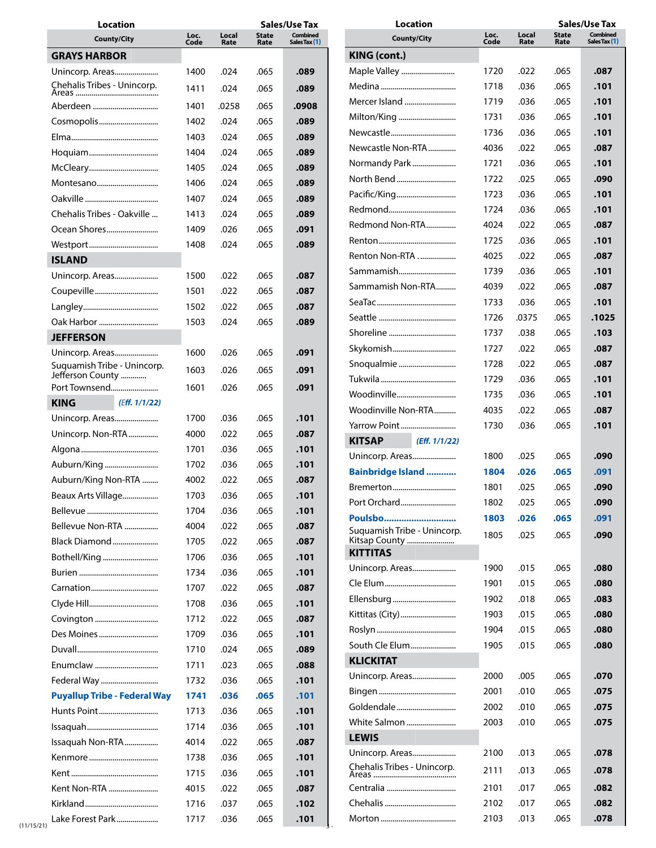| <b>Location</b>                                 | <b>Sales/Use Tax</b> |               |                      |                           | <b>Location</b>                        |              |               | <b>Sales/Use Tax</b> |                                  |  |
|-------------------------------------------------|----------------------|---------------|----------------------|---------------------------|----------------------------------------|--------------|---------------|----------------------|----------------------------------|--|
| <b>County/City</b>                              | Loc.<br>Code         | Local<br>Rate | <b>State</b><br>Rate | Combined<br>Sales Tax (1) | <b>County/City</b>                     | Loc.<br>Code | Local<br>Rate | <b>State</b><br>Rate | <b>Combined</b><br>Sales Tax (1) |  |
| <b>GRAYS HARBOR</b>                             |                      |               |                      |                           | KING (cont.)                           |              |               |                      |                                  |  |
| Unincorp. Areas                                 | 1400                 | .024          | .065                 | .089                      | Maple Valley                           | 1720         | .022          | .065                 | .087                             |  |
| Chehalis Tribes - Unincorp.                     | 1411                 | .024          | .065                 | .089                      |                                        | 1718         | .036          | .065                 | .101                             |  |
|                                                 |                      |               |                      |                           | Mercer Island                          | 1719         | .036          | .065                 | .101                             |  |
|                                                 | 1401                 | .0258         | .065                 | .0908                     | Milton/King                            | 1731         | .036          | .065                 | .101                             |  |
| Cosmopolis                                      | 1402                 | .024          | .065                 | .089                      | Newcastle                              | 1736         | .036          | .065                 | .101                             |  |
|                                                 | 1403                 | .024          | .065                 | .089                      | Newcastle Non-RTA                      | 4036         | .022          | .065                 | .087                             |  |
|                                                 | 1404                 | .024          | .065                 | .089                      | Normandy Park                          | 1721         | .036          | .065                 | .101                             |  |
|                                                 | 1405                 | .024          | .065                 | .089                      | North Bend                             | 1722         | .025          | .065                 | .090                             |  |
| Montesano                                       | 1406                 | .024          | .065                 | .089                      |                                        | 1723         | .036          | .065                 | .101                             |  |
|                                                 | 1407                 | .024          | .065                 | .089                      |                                        | 1724         | .036          | .065                 | .101                             |  |
| Chehalis Tribes - Oakville                      | 1413                 | .024          | .065                 | .089                      | Redmond Non-RTA                        | 4024         | .022          | .065                 | .087                             |  |
| Ocean Shores                                    | 1409                 | .026          | .065                 | .091                      |                                        | 1725         | .036          | .065                 | .101                             |  |
|                                                 | 1408                 | .024          | .065                 | .089                      | Renton Non-RTA                         | 4025         | .022          | .065                 | .087                             |  |
| <b>ISLAND</b>                                   |                      |               |                      |                           | Sammamish                              | 1739         | .036          | .065                 | .101                             |  |
| Unincorp. Areas                                 | 1500                 | .022          | .065                 | .087                      | Sammamish Non-RTA                      | 4039         | .022          | .065                 | .087                             |  |
|                                                 | 1501                 | .022          | .065                 | .087                      |                                        | 1733         | .036          | .065                 | .101                             |  |
|                                                 | 1502                 | .022          | .065                 | .087                      |                                        | 1726         | .0375         | .065                 | .1025                            |  |
| Oak Harbor                                      | 1503                 | .024          | .065                 | .089                      |                                        | 1737         | .038          | .065                 | .103                             |  |
| <b>JEFFERSON</b>                                |                      |               |                      |                           |                                        | 1727         | .022          | .065                 | .087                             |  |
| Unincorp. Areas                                 | 1600                 | .026          | .065                 | .091                      | Skykomish                              | 1728         | .022          | .065                 | .087                             |  |
| Suquamish Tribe - Unincorp.<br>Jefferson County | 1603                 | .026          | .065                 | .091                      |                                        |              |               |                      |                                  |  |
| Port Townsend                                   | 1601                 | .026          | .065                 | .091                      | Woodinville                            | 1729         | .036          | .065                 | .101                             |  |
| <b>KING</b><br>(Eff. 1/1/22)                    |                      |               |                      |                           |                                        | 1735         | .036          | .065                 | .101                             |  |
| Unincorp. Areas                                 | 1700                 | .036          | .065                 | .101                      | Woodinville Non-RTA                    | 4035         | .022          | .065                 | .087                             |  |
| Unincorp. Non-RTA                               | 4000                 | .022          | .065                 | .087                      | Yarrow Point                           | 1730         | .036          | .065                 | .101                             |  |
|                                                 | 1701                 | .036          | .065                 | .101                      | <b>KITSAP</b><br>(Eff. 1/1/22)         |              |               |                      |                                  |  |
| Auburn/King                                     | 1702                 | .036          | .065                 | .101                      | Unincorp. Areas                        | 1800         | .025          | .065                 | .090                             |  |
| Auburn/King Non-RTA                             | 4002                 | .022          | .065                 | .087                      | <b>Bainbridge Island </b>              | 1804         | .026          | .065                 | .091                             |  |
| Beaux Arts Village                              | 1703                 | .036          | .065                 | .101                      | Bremerton                              | 1801         | .025          | .065                 | .090                             |  |
|                                                 | 1704                 | .036          | .065                 | .101                      | Port Orchard                           | 1802         | .025          | .065                 | .090                             |  |
| Bellevue Non-RTA                                | 4004                 | .022          | .065                 | .087                      | Poulsbo<br>Suquamish Tribe - Unincorp. | 1803         | .026          | .065                 | .091                             |  |
| Black Diamond                                   | 1705                 | .022          | .065                 | .087                      | Kitsap County                          | 1805         | .025          | .065                 | .090                             |  |
| Bothell/King                                    | 1706                 | .036          | .065                 | .101                      | <b>KITTITAS</b>                        |              |               |                      |                                  |  |
|                                                 | 1734                 | .036          | .065                 | .101                      | Unincorp. Areas                        | 1900         | .015          | .065                 | .080                             |  |
|                                                 | 1707                 | .022          | .065                 | .087                      |                                        | 1901         | .015          | .065                 | .080                             |  |
|                                                 | 1708                 | .036          | .065                 | .101                      | Ellensburg                             | 1902         | .018          | .065                 | .083                             |  |
| Covington                                       | 1712                 | .022          | .065                 | .087                      | Kittitas (City)                        | 1903         | .015          | .065                 | .080                             |  |
| Des Moines                                      | 1709                 | .036          | .065                 | .101                      |                                        | 1904         | .015          | .065                 | .080                             |  |
|                                                 | 1710                 | .024          | .065                 | .089                      | South Cle Elum                         | 1905         | .015          | .065                 | .080                             |  |
| Enumclaw                                        | 1711                 | .023          | .065                 | .088                      | <b>KLICKITAT</b>                       |              |               |                      |                                  |  |
| Federal Way                                     | 1732                 | .036          | .065                 | .101                      | Unincorp. Areas                        | 2000         | .005          | .065                 | .070                             |  |
| <b>Puyallup Tribe - Federal Way</b>             | 1741                 | .036          | .065                 | .101                      |                                        | 2001         | .010          | .065                 | .075                             |  |
| Hunts Point                                     | 1713                 | .036          | .065                 | .101                      | Goldendale                             | 2002         | .010          | .065                 | .075                             |  |
|                                                 | 1714                 | .036          | .065                 | .101                      | White Salmon                           | 2003         | .010          | .065                 | .075                             |  |
| Issaquah Non-RTA                                | 4014                 | .022          | .065                 | .087                      | <b>LEWIS</b>                           |              |               |                      |                                  |  |
|                                                 |                      |               |                      | .101                      | Unincorp. Areas                        | 2100         | .013          | .065                 | .078                             |  |
|                                                 | 1738                 | .036          | .065                 |                           | Chehalis Tribes - Unincorp.            | 2111         | .013          | .065                 | .078                             |  |
|                                                 | 1715                 | .036          | .065                 | .101                      |                                        |              |               |                      |                                  |  |
| Kent Non-RTA                                    | 4015                 | .022          | .065                 | .087                      |                                        | 2101         | .017          | .065                 | .082                             |  |
|                                                 | 1716                 | .037          | .065                 | .102                      |                                        | 2102         | .017          | .065                 | .082                             |  |
| Lake Forest Park                                | 1717                 | .036          | .065                 | .101                      |                                        | 2103         | .013          | .065                 | .078                             |  |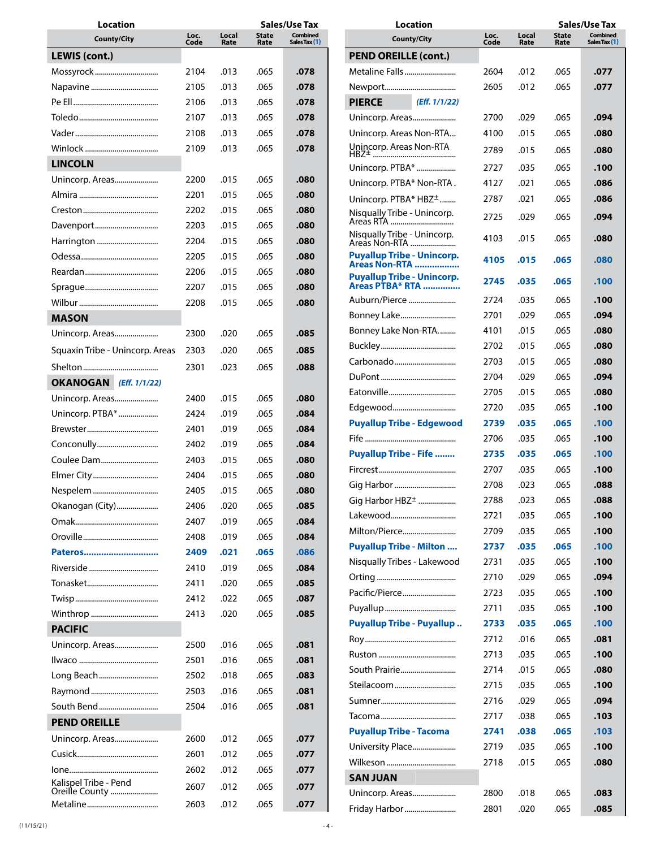| Location                                |              |               |                      | Sales/Use Tax                    |  |  |  |
|-----------------------------------------|--------------|---------------|----------------------|----------------------------------|--|--|--|
| <b>County/City</b>                      | Loc.<br>Code | Local<br>Rate | <b>State</b><br>Rate | <b>Combined</b><br>Sales Tax (1) |  |  |  |
| LEWIS (cont.)                           |              |               |                      |                                  |  |  |  |
| Mossyrock                               | 2104         | .013          | .065                 | .078                             |  |  |  |
|                                         | 2105         | .013          | .065                 | .078                             |  |  |  |
|                                         | 2106         | .013          | .065                 | .078                             |  |  |  |
|                                         | 2107         | .013          | .065                 | .078                             |  |  |  |
|                                         | 2108         | .013          | .065                 | .078                             |  |  |  |
|                                         | 2109         | .013          | .065                 | .078                             |  |  |  |
| <b>LINCOLN</b>                          |              |               |                      |                                  |  |  |  |
| Unincorp. Areas                         | 2200         | .015          | .065                 | .080                             |  |  |  |
|                                         | 2201         | .015          | .065                 | .080                             |  |  |  |
|                                         | 2202         | .015          | .065                 | .080                             |  |  |  |
| Davenport                               | 2203         | .015          | .065                 | .080                             |  |  |  |
| Harrington                              | 2204         | .015          | .065                 | .080                             |  |  |  |
|                                         | 2205         | .015          | .065                 | .080                             |  |  |  |
|                                         | 2206         | .015          | .065                 | .080                             |  |  |  |
|                                         | 2207         | .015          | .065                 | .080                             |  |  |  |
|                                         | 2208         | .015          | .065                 | .080                             |  |  |  |
| <b>MASON</b>                            |              |               |                      |                                  |  |  |  |
| Unincorp. Areas                         | 2300         | .020          | .065                 | .085                             |  |  |  |
| Squaxin Tribe - Unincorp. Areas         | 2303         | .020          | .065                 | .085                             |  |  |  |
|                                         |              |               |                      |                                  |  |  |  |
|                                         | 2301         | .023          | .065                 | .088                             |  |  |  |
| OKANOGAN (Eff. 1/1/22)                  |              |               |                      |                                  |  |  |  |
| Unincorp. Areas                         | 2400         | .015          | .065                 | .080                             |  |  |  |
| Unincorp. PTBA*                         | 2424         | .019          | .065                 | .084                             |  |  |  |
|                                         | 2401         | .019          | .065                 | .084                             |  |  |  |
| Conconully                              | 2402         | .019          | .065                 | .084                             |  |  |  |
| Coulee Dam                              | 2403         | .015          | .065                 | .080                             |  |  |  |
| Elmer City                              | 2404         | .015          | .065                 | .080                             |  |  |  |
|                                         | 2405         | .015          | .065                 | .080                             |  |  |  |
| Okanogan (City)                         | 2406         | .020          | .065                 | .085                             |  |  |  |
|                                         | 2407         | .019          | .065                 | .084                             |  |  |  |
|                                         | 2408         | .019          | .065                 | .084                             |  |  |  |
| Pateros                                 | 2409         | .021          | .065                 | .086                             |  |  |  |
| Riverside                               | 2410         | .019          | .065                 | .084                             |  |  |  |
|                                         | 2411         | .020          | .065                 | .085                             |  |  |  |
|                                         | 2412         | .022          | .065                 | .087                             |  |  |  |
| Winthrop                                | 2413         | .020          | .065                 | .085                             |  |  |  |
| <b>PACIFIC</b>                          |              |               |                      |                                  |  |  |  |
| Unincorp. Areas                         | 2500         | .016          | .065                 | .081                             |  |  |  |
|                                         | 2501         | .016          | .065                 | .081                             |  |  |  |
| Long Beach                              | 2502         | .018          | .065                 | .083                             |  |  |  |
|                                         | 2503         | .016          | .065                 | .081                             |  |  |  |
| South Bend                              | 2504         | .016          | .065                 | .081                             |  |  |  |
| <b>PEND OREILLE</b>                     |              |               |                      |                                  |  |  |  |
| Unincorp. Areas                         | 2600         | .012          | .065                 | .077                             |  |  |  |
|                                         | 2601         | .012          | .065                 | .077                             |  |  |  |
|                                         | 2602         | .012          | .065                 | .077                             |  |  |  |
| Kalispel Tribe - Pend<br>Oreille County | 2607         | .012          | .065                 | .077                             |  |  |  |
|                                         | 2603         | .012          | .065                 | .077                             |  |  |  |

| Location                                                     |              |               | Sales/Use Tax        |                                  |  |  |
|--------------------------------------------------------------|--------------|---------------|----------------------|----------------------------------|--|--|
| <b>County/City</b>                                           | Loc.<br>Code | Local<br>Rate | <b>State</b><br>Rate | <b>Combined</b><br>Sales Tax (1) |  |  |
| <b>PEND OREILLE (cont.)</b>                                  |              |               |                      |                                  |  |  |
| Metaline Falls                                               | 2604         | .012          | .065                 | .077                             |  |  |
|                                                              | 2605         | .012          | .065                 | .077                             |  |  |
| <b>PIERCE</b><br>(Eff. 1/1/22)                               |              |               |                      |                                  |  |  |
| Unincorp. Areas                                              | 2700         | .029          | .065                 | .094                             |  |  |
| Unincorp. Areas Non-RTA                                      | 4100         | .015          | .065                 | .080                             |  |  |
| Unincorp. Areas Non-RTA                                      | 2789         | .015          | .065                 | .080                             |  |  |
| HBZ <sup>+</sup>                                             |              |               |                      |                                  |  |  |
| Unincorp. PTBA*                                              | 2727         | .035          | .065                 | .100                             |  |  |
| Unincorp. PTBA* Non-RTA.                                     | 4127         | .021          | .065                 | .086                             |  |  |
| Unincorp. PTBA* HBZ <sup>±</sup>                             | 2787         | .021          | .065                 | .086                             |  |  |
| Nisqually Tribe - Unincorp.<br>Areas RTA                     | 2725         | .029          | .065                 | .094                             |  |  |
| Nisqually Tribe - Unincorp.<br>Areas Non-RTA                 | 4103         | .015          | .065                 | .080                             |  |  |
| <b>Puyallup Tribe - Unincorp.</b><br><b>Areas Non-RTA </b>   | 4105         | .015          | .065                 | .080                             |  |  |
| <b>Puyallup Tribe - Unincorp.</b><br><b>Areas PTBA* RTA </b> | 2745         | .035          | .065                 | .100                             |  |  |
| Auburn/Pierce                                                | 2724         | .035          | .065                 | .100                             |  |  |
| Bonney Lake                                                  | 2701         | .029          | .065                 | .094                             |  |  |
| Bonney Lake Non-RTA                                          | 4101         | .015          | .065                 | .080                             |  |  |
|                                                              | 2702         | .015          | .065                 | .080                             |  |  |
| Carbonado                                                    | 2703         | .015          | .065                 | .080                             |  |  |
|                                                              | 2704         | .029          | .065                 | .094                             |  |  |
|                                                              | 2705         | .015          | .065                 | .080                             |  |  |
| Edgewood                                                     | 2720         | .035          | .065                 | .100                             |  |  |
| <b>Puyallup Tribe - Edgewood</b>                             | 2739         | .035          | .065                 | .100                             |  |  |
|                                                              | 2706         | .035          | .065                 | .100                             |  |  |
| <b>Puyallup Tribe - Fife </b>                                | 2735         | .035          | .065                 | .100                             |  |  |
|                                                              | 2707         | .035          | .065                 | .100                             |  |  |
| Gig Harbor                                                   | 2708         | .023          | .065                 | .088                             |  |  |
| Gig Harbor HBZ <sup>+</sup>                                  | 2788         | .023          | .065                 | .088                             |  |  |
| Lakewood                                                     | 2721         | .035          | .065                 | .100                             |  |  |
| Milton/Pierce                                                | 2709         | .035          | .065                 | .100                             |  |  |
| <b>Puyallup Tribe - Milton </b>                              | 2737         | .035          | .065                 | .100                             |  |  |
| Nisqually Tribes - Lakewood                                  | 2731         | .035          | .065                 | .100                             |  |  |
|                                                              | 2710         | .029          | .065                 | .094                             |  |  |
| Pacific/Pierce                                               | 2723         | .035          | .065                 | .100                             |  |  |
|                                                              | 2711         | .035          | .065                 | .100                             |  |  |
| <b>Puyallup Tribe - Puyallup</b>                             | 2733         | .035          | .065                 | .100                             |  |  |
|                                                              | 2712         | .016          | .065                 | .081                             |  |  |
|                                                              | 2713         | .035          | .065                 | .100                             |  |  |
| South Prairie                                                | 2714         | .015          | .065                 | .080                             |  |  |
| Steilacoom                                                   | 2715         | .035          | .065                 | .100                             |  |  |
|                                                              | 2716         | .029          | .065                 | .094                             |  |  |
|                                                              | 2717         | .038          | .065                 | .103                             |  |  |
| <b>Puyallup Tribe - Tacoma</b>                               | 2741         | .038          | .065                 | .103                             |  |  |
| University Place                                             | 2719         | .035          | .065                 | .100                             |  |  |
| Wilkeson                                                     | 2718         | .015          | .065                 | .080                             |  |  |
| <b>SAN JUAN</b>                                              |              |               |                      |                                  |  |  |
| Unincorp. Areas                                              | 2800         | .018          | .065                 | .083                             |  |  |
| Friday Harbor                                                | 2801         | .020          | .065                 | .085                             |  |  |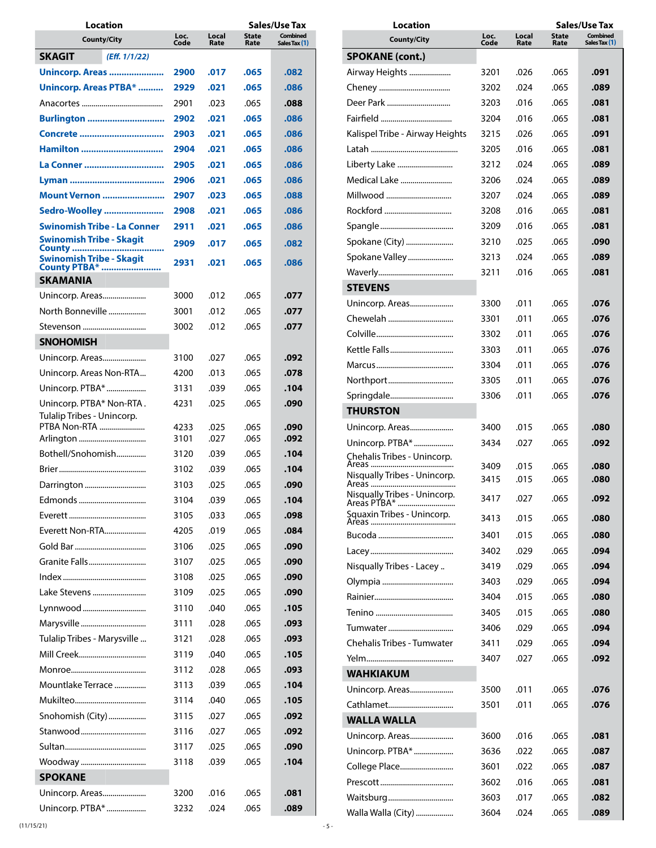| Location                                          |                      |              |               | Sales/Use Tax        |                                  |
|---------------------------------------------------|----------------------|--------------|---------------|----------------------|----------------------------------|
|                                                   | <b>County/City</b>   | Loc.<br>Code | Local<br>Rate | <b>State</b><br>Rate | <b>Combined</b><br>Sales Tax (1) |
| SKAGIT                                            | (Eff. 1/1/22)        |              |               |                      |                                  |
| <b>Unincorp. Areas </b>                           |                      | 2900         | .017          | .065                 | .082                             |
| <b>Unincorp. Areas PTBA* </b>                     |                      | 2929         | .021          | .065                 | .086                             |
|                                                   |                      | 2901         | .023          | .065                 | .088                             |
| <b>Burlington </b>                                |                      | 2902         | .021          | .065                 | .086                             |
|                                                   |                      | 2903         | .021          | .065                 | .086                             |
| Hamilton                                          |                      | 2904         | .021          | .065                 | .086                             |
| La Conner                                         |                      | 2905         | .021          | .065                 | .086                             |
|                                                   |                      | 2906         | .021          | .065                 | .086                             |
|                                                   | <b>Mount Vernon </b> | 2907         | .023          | .065                 | .088                             |
| Sedro-Woolley                                     |                      | 2908         | .021          | .065                 | .086                             |
| Swinomish Tribe - La Conner                       |                      | 2911         | .021          | .065                 | .086                             |
| <b>Swinomish Tribe - Skagit</b>                   |                      | 2909         | .017          | .065                 | .082                             |
| <b>County </b><br><b>Swinomish Tribe - Skagit</b> |                      |              |               |                      |                                  |
| <b>County PTBA* </b>                              |                      | 2931         | .021          | .065                 | .086                             |
| <b>SKAMANIA</b>                                   |                      |              |               |                      |                                  |
| Unincorp. Areas                                   |                      | 3000         | .012          | .065                 | .077                             |
| North Bonneville                                  |                      | 3001         | .012          | .065                 | .077                             |
| Stevenson                                         |                      | 3002         | .012          | .065                 | .077                             |
| <b>SNOHOMISH</b>                                  |                      |              |               |                      |                                  |
| Unincorp. Areas                                   |                      | 3100         | .027          | .065                 | .092                             |
| Unincorp. Areas Non-RTA                           |                      | 4200         | .013          | .065                 | .078                             |
| Unincorp. PTBA*                                   |                      | 3131         | .039          | .065                 | .104                             |
| Unincorp. PTBA* Non-RTA.                          |                      | 4231         | .025          | .065                 | .090                             |
| Tulalip Tribes - Unincorp.<br>PTBA Non-RTA        |                      | 4233         | .025          | .065                 | .090                             |
| Arlington                                         |                      | 3101         | .027          | .065                 | .092                             |
| Bothell/Snohomish                                 |                      | 3120         | .039          | .065                 | .104                             |
|                                                   |                      | 3102         | .039          | .065                 | .104                             |
| Darrington                                        |                      | 3103         | .025          | .065                 | .090                             |
|                                                   |                      | 3104         | .039          | .065                 | .104                             |
|                                                   |                      | 3105         | .033          | .065                 | .098                             |
| Everett Non-RTA                                   |                      | 4205         | .019          | .065                 | .084                             |
|                                                   |                      | 3106         | .025          | .065                 | .090                             |
| Granite Falls                                     |                      | 3107         | .025          | .065                 | .090                             |
|                                                   |                      | 3108         | .025          | .065                 | .090                             |
| Lake Stevens                                      |                      | 3109         | .025          | .065                 | .090                             |
| Lynnwood                                          |                      | 3110         | .040          | .065                 | .105                             |
| Marysville                                        |                      | 3111         | .028          | .065                 | .093                             |
| Tulalip Tribes - Marysville                       |                      | 3121         | .028          | .065                 | .093                             |
| Mill Creek                                        |                      | 3119         | .040          | .065                 | .105                             |
|                                                   |                      | 3112         | .028          | .065                 | .093                             |
| Mountlake Terrace                                 |                      | 3113         | .039          | .065                 | .104                             |
|                                                   |                      | 3114         | .040          | .065                 | .105                             |
| Snohomish (City)                                  |                      | 3115         | .027          | .065                 | .092                             |
| Stanwood                                          |                      | 3116         | .027          | .065                 | .092                             |
|                                                   |                      | 3117         | .025          | .065                 | .090                             |
| Woodway                                           |                      | 3118         | .039          | .065                 | .104                             |
| <b>SPOKANE</b>                                    |                      |              |               |                      |                                  |
| Unincorp. Areas                                   |                      | 3200         | .016          | .065                 | .081                             |
| Unincorp. PTBA*                                   |                      | 3232         | .024          | .065                 | .089                             |

| Location                                    |              |               |                      | Sales/Use Tax                    |
|---------------------------------------------|--------------|---------------|----------------------|----------------------------------|
| <b>County/City</b>                          | Loc.<br>Code | Local<br>Rate | <b>State</b><br>Rate | <b>Combined</b><br>Sales Tax (1) |
| <b>SPOKANE (cont.)</b>                      |              |               |                      |                                  |
| Airway Heights                              | 3201         | .026          | .065                 | .091                             |
|                                             | 3202         | .024          | .065                 | .089                             |
| Deer Park                                   | 3203         | .016          | .065                 | .081                             |
|                                             | 3204         | .016          | .065                 | .081                             |
| Kalispel Tribe - Airway Heights             | 3215         | .026          | .065                 | .091                             |
|                                             | 3205         | .016          | .065                 | .081                             |
| Liberty Lake                                | 3212         | .024          | .065                 | .089                             |
| Medical Lake                                | 3206         | .024          | .065                 | .089                             |
| Millwood                                    | 3207         | .024          | .065                 | .089                             |
| Rockford                                    | 3208         | .016          | .065                 | .081                             |
|                                             | 3209         | .016          | .065                 | .081                             |
| Spokane (City)                              | 3210         | .025          | .065                 | .090                             |
| Spokane Valley                              | 3213         | .024          | .065                 | .089                             |
|                                             | 3211         | .016          | .065                 | .081                             |
| <b>STEVENS</b>                              |              |               |                      |                                  |
| Unincorp. Areas                             | 3300         | .011          | .065                 | .076                             |
| Chewelah                                    | 3301         | .011          | .065                 | .076                             |
|                                             | 3302         | .011          | .065                 | .076                             |
| Kettle Falls                                | 3303         | .011          | .065                 | .076                             |
|                                             | 3304         | .011          | .065                 | .076                             |
| Northport                                   | 3305         | .011          | .065                 | .076                             |
| Springdale                                  | 3306         | .011          | .065                 | .076                             |
| <b>THURSTON</b>                             |              |               |                      |                                  |
| Unincorp. Areas                             | 3400         | .015          | .065                 | .080                             |
| Unincorp. PTBA*                             | 3434         | .027          | .065                 | .092                             |
| Chehalis Tribes - Unincorp.                 |              |               |                      |                                  |
| Areas                                       | 3409         | .015          | .065                 | .080                             |
| Nisqually Tribes - Unincorp.<br>Areas       | 3415         | .015          | .065                 | .080                             |
| Nisqually Tribes - Unincorp.<br>Areas PTBA" | 3417         | .027          | .065                 | .092                             |
|                                             | 3413         | .015          | .065                 | .080                             |
|                                             | 3401         | .015          | .065                 | .080                             |
|                                             | 3402         | .029          | .065                 | .094                             |
| Nisqually Tribes - Lacey                    | 3419         | .029          | .065                 | .094                             |
|                                             | 3403         | .029          | .065                 | .094                             |
|                                             | 3404         | .015          | .065                 | .080                             |
|                                             | 3405         | .015          | .065                 | .080                             |
| Tumwater                                    | 3406         | .029          | .065                 | .094                             |
| Chehalis Tribes - Tumwater                  | 3411         | .029          | .065                 | .094                             |
|                                             | 3407         | .027          | .065                 | .092                             |
| <b>WAHKIAKUM</b>                            |              |               |                      |                                  |
| Unincorp. Areas                             | 3500         | .011          | .065                 | .076                             |
| Cathlamet                                   | 3501         | .011          | .065                 | .076                             |
| <b>WALLA WALLA</b>                          |              |               |                      |                                  |
| Unincorp. Areas                             | 3600         | .016          | .065                 | .081                             |
| Unincorp. PTBA*                             | 3636         | .022          | .065                 | .087                             |
| College Place                               | 3601         | .022          | .065                 | .087                             |
|                                             | 3602         | .016          | .065                 | .081                             |
| Waitsburg                                   | 3603         | .017          | .065                 | .082                             |
| Walla Walla (City)                          | 3604         | .024          | .065                 | .089                             |